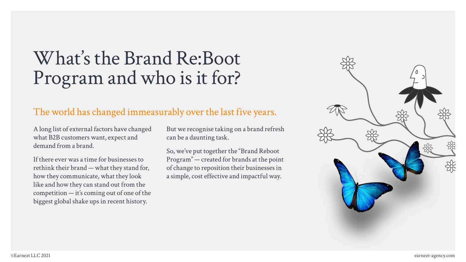# What's the Brand Re:Boot Program and who is it for?

# The world has changed immeasurably over the last five years.

A long list of external factors have changed what B2B customers want, expect and demand from a brand.

If there ever was a time for businesses to rethink their brand — what they stand for, how they communicate, what they look like and how they can stand out from the competition — it's coming out of one of the biggest global shake ups in recent history.

But we recognise taking on a brand refresh can be a daunting task.

So, we've put together the "Brand Reboot Program" — created for brands at the point of change to reposition their businesses in a simple, cost effective and impactful way.

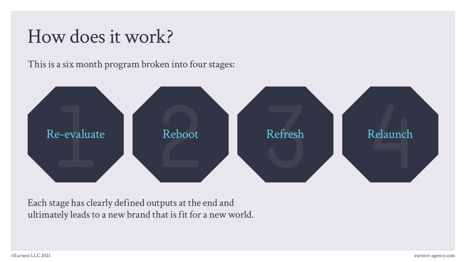# How does it work?

This is a six month program broken into four stages:



Each stage has clearly defined outputs at the end and ultimately leads to a new brand that is fit for a new world.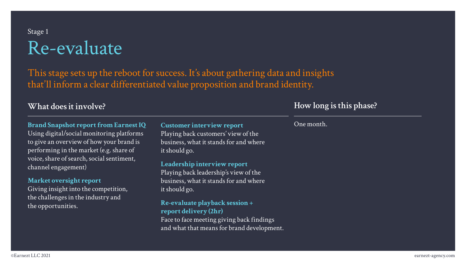# Stage 1 Re-evaluate

This stage sets up the reboot for success. It's about gathering data and insights that'll inform a clear differentiated value proposition and brand identity.

### **What does it involve?**

**Brand Snapshot report from Earnest IQ** Using digital/social monitoring platforms to give an overview of how your brand is performing in the market (e.g. share of voice, share of search, social sentiment, channel engagement)

**Market oversight report** Giving insight into the competition, the challenges in the industry and the opportunities.

**Customer interview report**  Playing back customers' view of the business, what it stands for and where it should go.

**Leadership interview report**  Playing back leadership's view of the business, what it stands for and where it should go.

**Re-evaluate playback session + report delivery (2hr)** Face to face meeting giving back findings and what that means for brand development.

## **How long is this phase?**

One month.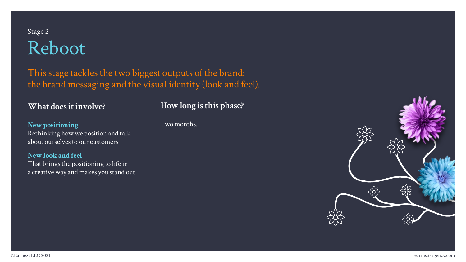# Stage 2 Reboot

This stage tackles the two biggest outputs of the brand: the brand messaging and the visual identity (look and feel).

### **What does it involve?**

**New positioning** Rethinking how we position and talk about ourselves to our customers

#### **New look and feel** That brings the positioning to life in a creative way and makes you stand out

**How long is this phase?**

Two months.

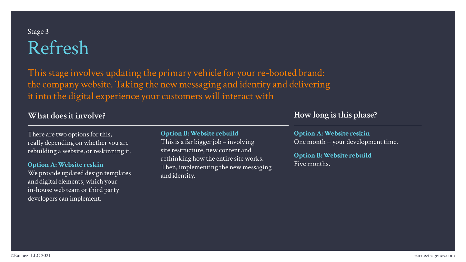# Stage 3 Refresh

This stage involves updating the primary vehicle for your re-booted brand: the company website. Taking the new messaging and identity and delivering it into the digital experience your customers will interact with

## **What does it involve?**

There are two options for this, really depending on whether you are rebuilding a website, or reskinning it.

**Option A: Website reskin** We provide updated design templates and digital elements, which your in-house web team or third party developers can implement.

#### **Option B: Website rebuild**

This is a far bigger job – involving site restructure, new content and rethinking how the entire site works. Then, implementing the new messaging and identity.

### **How long is this phase?**

**Option A: Website reskin** One month + your development time.

**Option B: Website rebuild** Five months.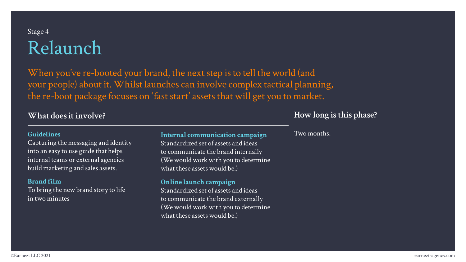# Stage 4 Relaunch

When you've re-booted your brand, the next step is to tell the world (and your people) about it. Whilst launches can involve complex tactical planning, the re-boot package focuses on 'fast start' assets that will get you to market.

**What does it involve?**

#### **Guidelines**

Capturing the messaging and identity into an easy to use guide that helps internal teams or external agencies build marketing and sales assets.

#### **Brand film**

To bring the new brand story to life in two minutes

#### **Internal communication campaign**

Standardized set of assets and ideas to communicate the brand internally (We would work with you to determine what these assets would be.)

#### **Online launch campaign**

Standardized set of assets and ideas to communicate the brand externally (We would work with you to determine what these assets would be.)

### **How long is this phase?**

#### Two months.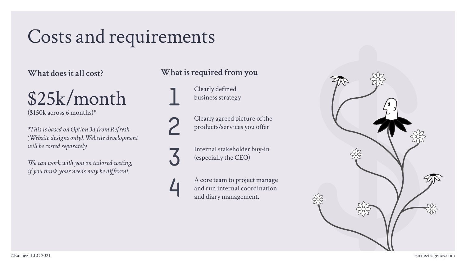# Costs and requirements

**What does it all cost?**

# \$25k/month

 $($150k$  across 6 months)\*

*\*This is based on Option 3a from Refresh (Website designs only). Website development will be costed separately*

*We can work with you on tailored costing, if you think your needs may be different.* 

# **What is required from you**

Clearly defined **1** business strategy

**3**

**2**

Clearly agreed picture of the

Internal stakeholder buy-in (especially the CEO)

**4** A core team to project manage and run internal coordination and diary management.

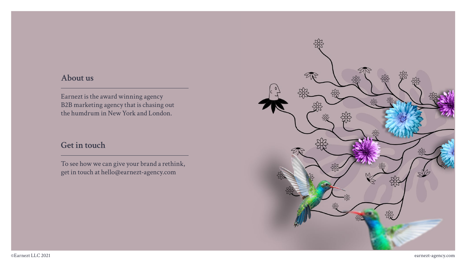## **About us**

Earnezt is the award winning agency B2B marketing agency that is chasing out the humdrum in New York and London.

## **Get in touch**

To see how we can give your brand a rethink, get in touch at hello@earnezt-agency.com